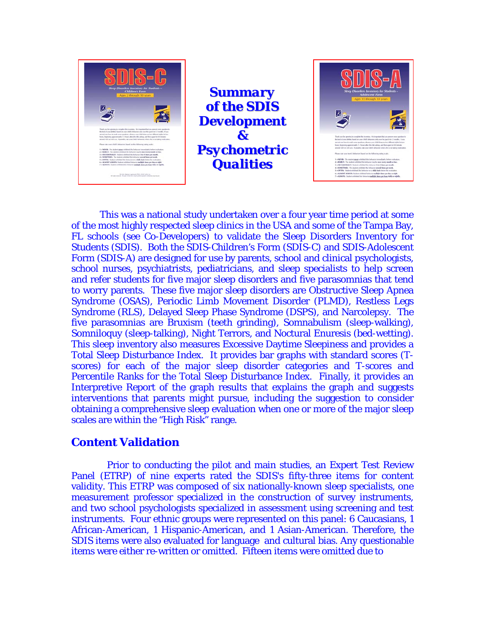



 This was a national study undertaken over a four year time period at some of the most highly respected sleep clinics in the USA and some of the Tampa Bay, FL schools (see Co-Developers) to validate the Sleep Disorders Inventory for Students (SDIS). Both the SDIS-Children's Form (SDIS-C) and SDIS-Adolescent Form (SDIS-A) are designed for use by parents, school and clinical psychologists, school nurses, psychiatrists, pediatricians, and sleep specialists to help screen and refer students for five major sleep disorders and five parasomnias that tend to worry parents. These five major sleep disorders are Obstructive Sleep Apnea Syndrome (OSAS), Periodic Limb Movement Disorder (PLMD), Restless Legs Syndrome (RLS), Delayed Sleep Phase Syndrome (DSPS), and Narcolepsy. The five parasomnias are Bruxism (teeth grinding), Somnabulism (sleep-walking), Somniloquy (sleep-talking), Night Terrors, and Noctural Enuresis (bed-wetting). This sleep inventory also measures Excessive Daytime Sleepiness and provides a Total Sleep Disturbance Index. It provides bar graphs with standard scores (Tscores) for each of the major sleep disorder categories and T-scores and Percentile Ranks for the Total Sleep Disturbance Index. Finally, it provides an Interpretive Report of the graph results that explains the graph and suggests interventions that parents might pursue, including the suggestion to consider obtaining a comprehensive sleep evaluation when one or more of the major sleep scales are within the "High Risk" range.

## **Content Validation**

 Prior to conducting the pilot and main studies, an Expert Test Review Panel (ETRP) of nine experts rated the SDIS's fifty-three items for content validity. This ETRP was composed of six nationally-known sleep specialists, one measurement professor specialized in the construction of survey instruments, and two school psychologists specialized in assessment using screening and test instruments. Four ethnic groups were represented on this panel: 6 Caucasians, 1 African-American, 1 Hispanic-American, and 1 Asian-American. Therefore, the SDIS items were also evaluated for language and cultural bias. Any questionable items were either re-written or omitted. Fifteen items were omitted due to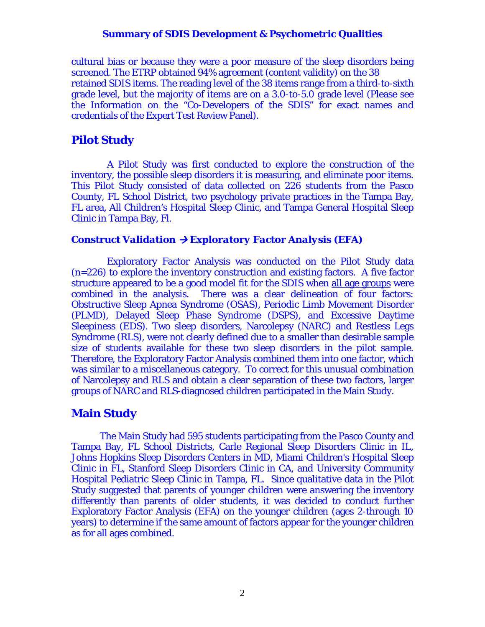cultural bias or because they were a poor measure of the sleep disorders being screened. The ETRP obtained 94% agreement (content validity) on the 38 retained SDIS items. The reading level of the 38 items range from a third-to-sixth grade level, but the majority of items are on a 3.0-to-5.0 grade level (Please see the Information on the "Co-Developers of the SDIS" for exact names and credentials of the Expert Test Review Panel).

## **Pilot Study**

 A Pilot Study was first conducted to explore the construction of the inventory, the possible sleep disorders it is measuring, and eliminate poor items. This Pilot Study consisted of data collected on 226 students from the Pasco County, FL School District, two psychology private practices in the Tampa Bay, FL area, All Children's Hospital Sleep Clinic, and Tampa General Hospital Sleep Clinic in Tampa Bay, Fl.

### *Construct Validation → Exploratory Factor Analysis (EFA)*

 Exploratory Factor Analysis was conducted on the Pilot Study data (n=226) to explore the inventory construction and existing factors. A five factor structure appeared to be a good model fit for the SDIS when all age groups were combined in the analysis. There was a clear delineation of four factors: Obstructive Sleep Apnea Syndrome (OSAS), Periodic Limb Movement Disorder (PLMD), Delayed Sleep Phase Syndrome (DSPS), and Excessive Daytime Sleepiness (EDS). Two sleep disorders, Narcolepsy (NARC) and Restless Legs Syndrome (RLS), were not clearly defined due to a smaller than desirable sample size of students available for these two sleep disorders in the pilot sample. Therefore, the Exploratory Factor Analysis combined them into one factor, which was similar to a miscellaneous category. To correct for this unusual combination of Narcolepsy and RLS and obtain a clear separation of these two factors, larger groups of NARC and RLS-diagnosed children participated in the Main Study.

## **Main Study**

 The Main Study had 595 students participating from the Pasco County and Tampa Bay, FL School Districts, Carle Regional Sleep Disorders Clinic in IL, Johns Hopkins Sleep Disorders Centers in MD, Miami Children's Hospital Sleep Clinic in FL, Stanford Sleep Disorders Clinic in CA, and University Community Hospital Pediatric Sleep Clinic in Tampa, FL. Since qualitative data in the Pilot Study suggested that parents of younger children were answering the inventory differently than parents of older students, it was decided to conduct further Exploratory Factor Analysis (EFA) on the younger children (ages 2-through 10 years) to determine if the same amount of factors appear for the younger children as for all ages combined.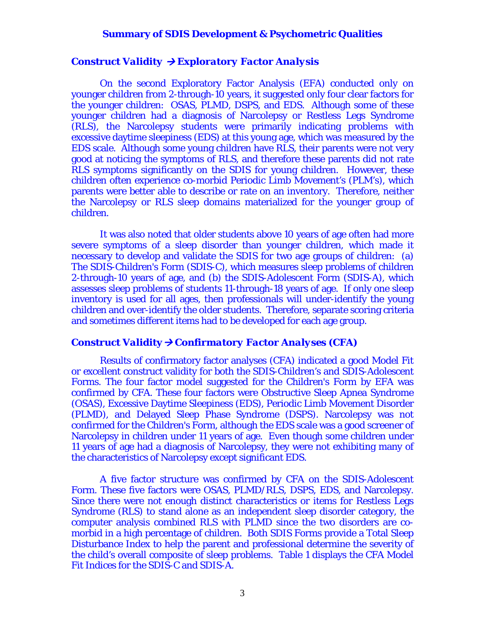#### *Construct Validity* Æ *Exploratory Factor Analysis*

 On the second Exploratory Factor Analysis (EFA) conducted only on younger children from 2-through-10 years, it suggested only four clear factors for the younger children: OSAS, PLMD, DSPS, and EDS. Although some of these younger children had a diagnosis of Narcolepsy or Restless Legs Syndrome (RLS), the Narcolepsy students were primarily indicating problems with excessive daytime sleepiness (EDS) at this young age, which was measured by the EDS scale. Although some young children have RLS, their parents were not very good at noticing the symptoms of RLS, and therefore these parents did not rate RLS symptoms significantly on the SDIS for young children. However, these children often experience co-morbid Periodic Limb Movement's (PLM's), which parents were better able to describe or rate on an inventory. Therefore, neither the Narcolepsy or RLS sleep domains materialized for the younger group of children.

 It was also noted that older students above 10 years of age often had more severe symptoms of a sleep disorder than younger children, which made it necessary to develop and validate the SDIS for two age groups of children: (a) The SDIS-Children's Form (SDIS-C), which measures sleep problems of children 2-through-10 years of age, and (b) the SDIS-Adolescent Form (SDIS-A), which assesses sleep problems of students 11-through-18 years of age. If only one sleep inventory is used for all ages, then professionals will under-identify the young children and over-identify the older students. Therefore, separate scoring criteria and sometimes different items had to be developed for each age group.

#### *Construct Validity→ Confirmatory Factor Analyses (CFA)*

 Results of confirmatory factor analyses (CFA) indicated a good Model Fit or excellent construct validity for both the SDIS-Children's and SDIS-Adolescent Forms. The four factor model suggested for the Children's Form by EFA was confirmed by CFA. These four factors were Obstructive Sleep Apnea Syndrome (OSAS), Excessive Daytime Sleepiness (EDS), Periodic Limb Movement Disorder (PLMD), and Delayed Sleep Phase Syndrome (DSPS). Narcolepsy was not confirmed for the Children's Form, although the EDS scale was a good screener of Narcolepsy in children under 11 years of age. Even though some children under 11 years of age had a diagnosis of Narcolepsy, they were not exhibiting many of the characteristics of Narcolepsy except significant EDS.

 A five factor structure was confirmed by CFA on the SDIS-Adolescent Form. These five factors were OSAS, PLMD/RLS, DSPS, EDS, and Narcolepsy. Since there were not enough distinct characteristics or items for Restless Legs Syndrome (RLS) to stand alone as an independent sleep disorder category, the computer analysis combined RLS with PLMD since the two disorders are comorbid in a high percentage of children. Both SDIS Forms provide a Total Sleep Disturbance Index to help the parent and professional determine the severity of the child's overall composite of sleep problems. Table 1 displays the CFA Model Fit Indices for the SDIS-C and SDIS-A.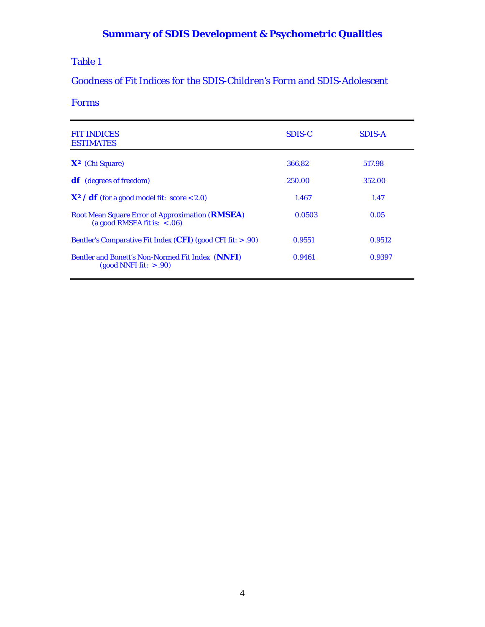## Table 1

# *Goodness of Fit Indices for the SDIS-Children's Form and SDIS-Adolescent*

## *Forms*

| <b>FIT INDICES</b><br><b>ESTIMATES</b>                                                                 | SDIS-C | <b>SDIS-A</b> |
|--------------------------------------------------------------------------------------------------------|--------|---------------|
| $X^2$ (Chi Square)                                                                                     | 366.82 | 517.98        |
| <b>df</b> (degrees of freedom)                                                                         | 250.00 | 352.00        |
| $X^2$ / <b>df</b> (for a good model fit: score < 2.0)                                                  | 1.467  | 1.47          |
| Root Mean Square Error of Approximation ( <b>RMSEA</b> )<br>(a good RMSEA fit is: $< .06$ )            | 0.0503 | 0.05          |
| Bentler's Comparative Fit Index ( <i>CFI</i> ) (good CFI fit: $> .90$ )                                | 0.9551 | 0.9512        |
| <b>Bentler and Bonett's Non-Normed Fit Index (NNFI)</b><br>$\left(\text{good NNFI fit: } > .90\right)$ | 0.9461 | 0.9397        |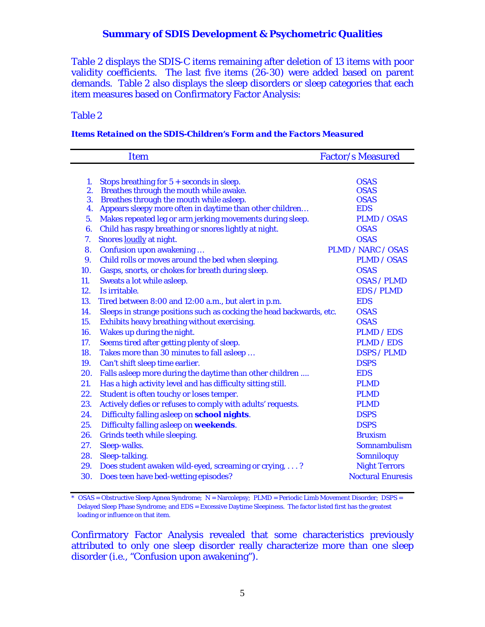Table 2 displays the SDIS-C items remaining after deletion of 13 items with poor validity coefficients. The last five items (26-30) were added based on parent demands. Table 2 also displays the sleep disorders or sleep categories that each item measures based on Confirmatory Factor Analysis:

#### Table 2

#### *Items Retained on the SDIS-Children's Form and the Factors Measured*

|                | <b>Item</b>                                                          | <b>Factor/s Measured</b>  |
|----------------|----------------------------------------------------------------------|---------------------------|
|                |                                                                      |                           |
| 1.             | Stops breathing for $5 +$ seconds in sleep.                          | <b>OSAS</b>               |
| 2.             | Breathes through the mouth while awake.                              | <b>OSAS</b>               |
| 3.             | Breathes through the mouth while asleep.                             | <b>OSAS</b>               |
| 4.             | Appears sleepy more often in daytime than other children             | <b>EDS</b>                |
| 5.             | Makes repeated leg or arm jerking movements during sleep.            | <b>PLMD / OSAS</b>        |
| 6.             | Child has raspy breathing or snores lightly at night.                | <b>OSAS</b>               |
| 7.             | Snores loudly at night.                                              | <b>OSAS</b>               |
| 8.             | Confusion upon awakening                                             | <b>PLMD / NARC / OSAS</b> |
| 9 <sub>1</sub> | Child rolls or moves around the bed when sleeping.                   | <b>PLMD</b> / OSAS        |
| 10.            | Gasps, snorts, or chokes for breath during sleep.                    | <b>OSAS</b>               |
| 11.            | Sweats a lot while asleep.                                           | <b>OSAS / PLMD</b>        |
| 12.            | Is irritable.                                                        | <b>EDS / PLMD</b>         |
| 13.            | Tired between 8:00 and 12:00 a.m., but alert in p.m.                 | <b>EDS</b>                |
| 14.            | Sleeps in strange positions such as cocking the head backwards, etc. | <b>OSAS</b>               |
| 15.            | Exhibits heavy breathing without exercising.                         | <b>OSAS</b>               |
| 16.            | Wakes up during the night.                                           | <b>PLMD</b> / EDS         |
| 17.            | Seems tired after getting plenty of sleep.                           | <b>PLMD / EDS</b>         |
| 18.            | Takes more than 30 minutes to fall asleep                            | <b>DSPS / PLMD</b>        |
| 19.            | Can't shift sleep time earlier.                                      | <b>DSPS</b>               |
| 20.            | Falls asleep more during the daytime than other children             | <b>EDS</b>                |
| 21.            | Has a high activity level and has difficulty sitting still.          | <b>PLMD</b>               |
| 22.            | Student is often touchy or loses temper.                             | <b>PLMD</b>               |
| 23.            | Actively defies or refuses to comply with adults' requests.          | <b>PLMD</b>               |
| 24.            | Difficulty falling asleep on school nights.                          | <b>DSPS</b>               |
| 25.            | Difficulty falling asleep on weekends.                               | <b>DSPS</b>               |
| 26.            | Grinds teeth while sleeping.                                         | <b>Bruxism</b>            |
| 27.            | Sleep-walks.                                                         | <b>Somnambulism</b>       |
| 28.            | Sleep-talking.                                                       | <b>Somniloquy</b>         |
| 29.            | Does student awaken wild-eyed, screaming or crying, ?                | <b>Night Terrors</b>      |
| 30.            | Does teen have bed-wetting episodes?                                 | <b>Noctural Enuresis</b>  |
|                |                                                                      |                           |

<sup>\*</sup> OSAS = Obstructive Sleep Apnea Syndrome; N = Narcolepsy; PLMD = Periodic Limb Movement Disorder; DSPS = Delayed Sleep Phase Syndrome; and EDS = Excessive Daytime Sleepiness. The factor listed first has the greatest loading or influence on that item.

Confirmatory Factor Analysis revealed that some characteristics previously attributed to only one sleep disorder really characterize more than one sleep disorder (i.e., "Confusion upon awakening").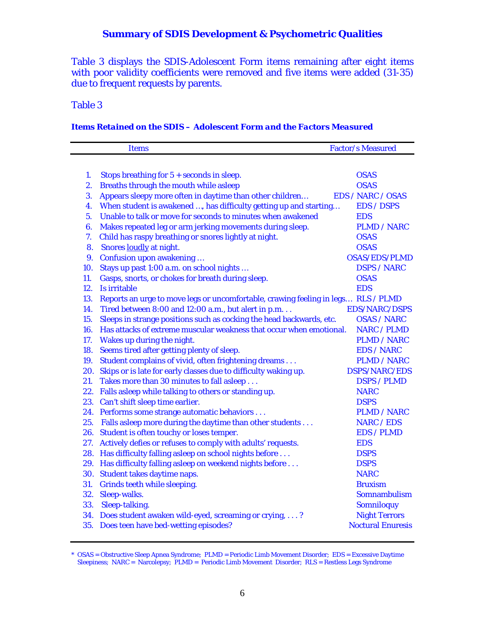Table 3 displays the SDIS-Adolescent Form items remaining after eight items with poor validity coefficients were removed and five items were added (31-35) due to frequent requests by parents.

### Table 3

### *Items Retained on the SDIS – Adolescent Form and the Factors Measured*

|     | <b>Items</b>                                                                      | <b>Factor/s Measured</b> |
|-----|-----------------------------------------------------------------------------------|--------------------------|
|     |                                                                                   |                          |
| 1.  | Stops breathing for $5 +$ seconds in sleep.                                       | <b>OSAS</b>              |
| 2.  | Breaths through the mouth while asleep                                            | <b>OSAS</b>              |
| 3.  | Appears sleepy more often in daytime than other children                          | <b>EDS / NARC / OSAS</b> |
| 4.  | When student is awakened , has difficulty getting up and starting                 | <b>EDS / DSPS</b>        |
| 5.  | Unable to talk or move for seconds to minutes when awakened                       | <b>EDS</b>               |
| 6.  | Makes repeated leg or arm jerking movements during sleep.                         | <b>PLMD / NARC</b>       |
| 7.  | Child has raspy breathing or snores lightly at night.                             | <b>OSAS</b>              |
| 8.  | Snores loudly at night.                                                           | <b>OSAS</b>              |
| 9.  | <b>Confusion upon awakening</b>                                                   | <b>OSAS/EDS/PLMD</b>     |
| 10. | Stays up past 1:00 a.m. on school nights                                          | <b>DSPS / NARC</b>       |
| 11. | Gasps, snorts, or chokes for breath during sleep.                                 | <b>OSAS</b>              |
| 12. | Is irritable                                                                      | <b>EDS</b>               |
| 13. | Reports an urge to move legs or uncomfortable, crawing feeling in legs RLS / PLMD |                          |
| 14. | Tired between 8:00 and 12:00 a.m., but alert in p.m                               | <b>EDS/NARC/DSPS</b>     |
| 15. | Sleeps in strange positions such as cocking the head backwards, etc.              | <b>OSAS / NARC</b>       |
| 16. | Has attacks of extreme muscular weakness that occur when emotional.               | <b>NARC / PLMD</b>       |
| 17. | Wakes up during the night.                                                        | <b>PLMD / NARC</b>       |
| 18. | Seems tired after getting plenty of sleep.                                        | <b>EDS / NARC</b>        |
| 19. | Student complains of vivid, often frightening dreams                              | <b>PLMD / NARC</b>       |
|     | 20. Skips or is late for early classes due to difficulty waking up.               | DSPS/NARC/EDS            |
| 21. | Takes more than 30 minutes to fall asleep                                         | <b>DSPS / PLMD</b>       |
| 22. | Falls asleep while talking to others or standing up.                              | <b>NARC</b>              |
|     | 23. Can't shift sleep time earlier.                                               | <b>DSPS</b>              |
|     | 24. Performs some strange automatic behaviors                                     | <b>PLMD / NARC</b>       |
| 25. | Falls asleep more during the daytime than other students                          | <b>NARC / EDS</b>        |
|     | 26. Student is often touchy or loses temper.                                      | <b>EDS / PLMD</b>        |
| 27. | Actively defies or refuses to comply with adults' requests.                       | <b>EDS</b>               |
|     | 28. Has difficulty falling asleep on school nights before                         | <b>DSPS</b>              |
|     | 29. Has difficulty falling asleep on weekend nights before                        | <b>DSPS</b>              |
|     | 30. Student takes daytime naps.                                                   | <b>NARC</b>              |
| 31. | Grinds teeth while sleeping.                                                      | <b>Bruxism</b>           |
| 32. | Sleep-walks.                                                                      | <b>Somnambulism</b>      |
| 33. | Sleep-talking.                                                                    | <b>Somniloquy</b>        |
|     | 34. Does student awaken wild-eyed, screaming or crying, ?                         | <b>Night Terrors</b>     |
|     | 35. Does teen have bed-wetting episodes?                                          | <b>Noctural Enuresis</b> |

<sup>\*</sup> OSAS = Obstructive Sleep Apnea Syndrome; PLMD = Periodic Limb Movement Disorder; EDS = Excessive Daytime Sleepiness; NARC = Narcolepsy; PLMD = Periodic Limb Movement Disorder; RLS = Restless Legs Syndrome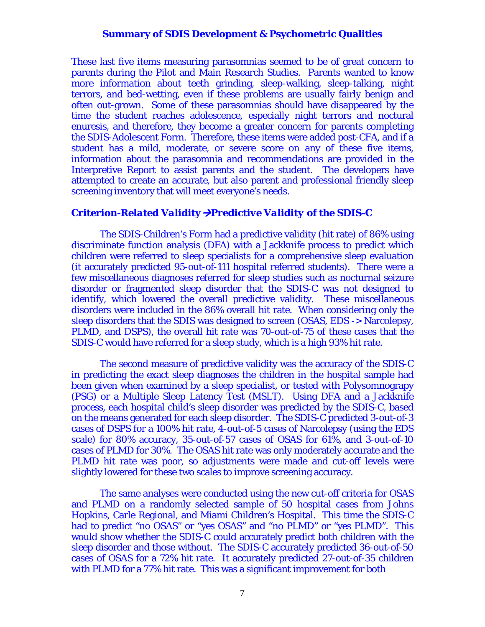These last five items measuring parasomnias seemed to be of great concern to parents during the Pilot and Main Research Studies. Parents wanted to know more information about teeth grinding, sleep-walking, sleep-talking, night terrors, and bed-wetting, even if these problems are usually fairly benign and often out-grown. Some of these parasomnias should have disappeared by the time the student reaches adolescence, especially night terrors and noctural enuresis, and therefore, they become a greater concern for parents completing the SDIS-Adolescent Form. Therefore, these items were added post-CFA, and if a student has a mild, moderate, or severe score on any of these five items, information about the parasomnia and recommendations are provided in the Interpretive Report to assist parents and the student. The developers have attempted to create an accurate, but also parent and professional friendly sleep screening inventory that will meet everyone's needs.

#### *Criterion-Related Validity→Predictive Validity of the SDIS-C*

 The SDIS-Children's Form had a predictive validity (hit rate) of 86% using discriminate function analysis (DFA) with a Jackknife process to predict which children were referred to sleep specialists for a comprehensive sleep evaluation (it accurately predicted 95-out-of-111 hospital referred students). There were a few miscellaneous diagnoses referred for sleep studies such as nocturnal seizure disorder or fragmented sleep disorder that the SDIS-C was not designed to identify, which lowered the overall predictive validity. These miscellaneous disorders were included in the 86% overall hit rate. When considering only the sleep disorders that the SDIS was designed to screen (OSAS, EDS -> Narcolepsy, PLMD, and DSPS), the overall hit rate was 70-out-of-75 of these cases that the SDIS-C would have referred for a sleep study, which is a high 93% hit rate.

 The second measure of predictive validity was the accuracy of the SDIS-C in predicting the exact sleep diagnoses the children in the hospital sample had been given when examined by a sleep specialist, or tested with Polysomnograpy (PSG) or a Multiple Sleep Latency Test (MSLT). Using DFA and a Jackknife process, each hospital child's sleep disorder was predicted by the SDIS-C, based on the means generated for each sleep disorder. The SDIS-C predicted 3-out-of-3 cases of DSPS for a 100% hit rate, 4-out-of-5 cases of Narcolepsy (using the EDS scale) for 80% accuracy, 35-out-of-57 cases of OSAS for 61%, and 3-out-of-10 cases of PLMD for 30%. The OSAS hit rate was only moderately accurate and the PLMD hit rate was poor, so adjustments were made and cut-off levels were slightly lowered for these two scales to improve screening accuracy.

 The same analyses were conducted using the new cut-off criteria for OSAS and PLMD on a randomly selected sample of 50 hospital cases from Johns Hopkins, Carle Regional, and Miami Children's Hospital. This time the SDIS-C had to predict "no OSAS" or "yes OSAS" and "no PLMD" or "yes PLMD". This would show whether the SDIS-C could accurately predict both children with the sleep disorder and those without. The SDIS-C accurately predicted 36-out-of-50 cases of OSAS for a 72% hit rate. It accurately predicted 27-out-of-35 children with PLMD for a 77% hit rate. This was a significant improvement for both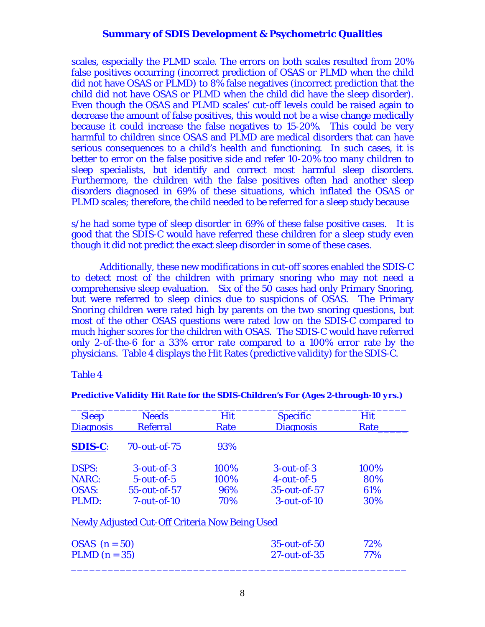scales, especially the PLMD scale. The errors on both scales resulted from 20% false positives occurring (incorrect prediction of OSAS or PLMD when the child did not have OSAS or PLMD) to 8% false negatives (incorrect prediction that the child did not have OSAS or PLMD when the child did have the sleep disorder). Even though the OSAS and PLMD scales' cut-off levels could be raised again to decrease the amount of false positives, this would not be a wise change medically because it could increase the false negatives to 15-20%. This could be very harmful to children since OSAS and PLMD are medical disorders that can have serious consequences to a child's health and functioning. In such cases, it is better to error on the false positive side and refer 10-20% too many children to sleep specialists, but identify and correct most harmful sleep disorders. Furthermore, the children with the false positives often had another sleep disorders diagnosed in 69% of these situations, which inflated the OSAS or PLMD scales; therefore, the child needed to be referred for a sleep study because

s/he had some type of sleep disorder in 69% of these false positive cases. It is good that the SDIS-C would have referred these children for a sleep study even though it did not predict the exact sleep disorder in some of these cases.

 Additionally, these new modifications in cut-off scores enabled the SDIS-C to detect most of the children with primary snoring who may not need a comprehensive sleep evaluation. Six of the  $50$  cases had only Primary Snoring, but were referred to sleep clinics due to suspicions of OSAS. The Primary Snoring children were rated high by parents on the two snoring questions, but most of the other OSAS questions were rated low on the SDIS-C compared to much higher scores for the children with OSAS. The SDIS-C would have referred only 2-of-the-6 for a 33% error rate compared to a 100% error rate by the physicians. Table 4 displays the Hit Rates (predictive validity) for the SDIS-C.

Table 4

| <b>Sleep</b>     | <b>Needs</b>                                          | Hit  | <b>Specific</b>    | Hit  |
|------------------|-------------------------------------------------------|------|--------------------|------|
| <b>Diagnosis</b> | <b>Referral</b>                                       | Rate | <b>Diagnosis</b>   | Rate |
| <b>SDIS-C:</b>   | $70$ -out-of- $75$                                    | 93%  |                    |      |
| <b>DSPS:</b>     | $3$ -out-of- $3$                                      | 100% | $3$ -out-of- $3$   | 100% |
| <b>NARC:</b>     | $5$ -out-of-5                                         | 100% | $4$ -out-of-5      | 80%  |
| <b>OSAS:</b>     | $55$ -out-of- $57$                                    | 96%  | $35$ -out-of- $57$ | 61%  |
| PLMD:            | $7$ -out-of-10                                        | 70%  | $3$ -out-of-10     | 30%  |
|                  | <b>Newly Adjusted Cut-Off Criteria Now Being Used</b> |      |                    |      |
| $OSAS$ (n = 50)  |                                                       |      | $35$ -out-of- $50$ | 72%  |
| PLMD $(n = 35)$  |                                                       |      | $27$ -out-of-35    | 77%  |

*Predictive Validity Hit Rate for the SDIS-Children's For (Ages 2-through-10 yrs.)*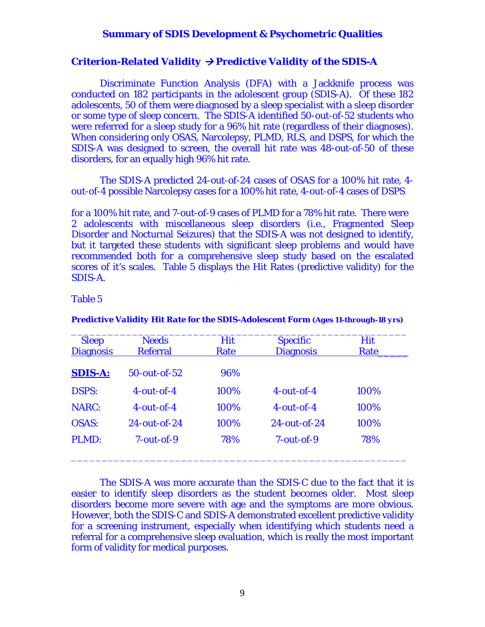#### *Criterion-Related Validity*  $\rightarrow$  *Predictive Validity of the SDIS-A*

 Discriminate Function Analysis (DFA) with a Jackknife process was conducted on 182 participants in the adolescent group (SDIS-A). Of these 182 adolescents, 50 of them were diagnosed by a sleep specialist with a sleep disorder or some type of sleep concern. The SDIS-A identified 50-out-of-52 students who were referred for a sleep study for a 96% hit rate (regardless of their diagnoses). When considering only OSAS, Narcolepsy, PLMD, RLS, and DSPS, for which the SDIS-A was designed to screen, the overall hit rate was 48-out-of-50 of these disorders, for an equally high 96% hit rate.

 The SDIS-A predicted 24-out-of-24 cases of OSAS for a 100% hit rate, 4 out-of-4 possible Narcolepsy cases for a 100% hit rate, 4-out-of-4 cases of DSPS

for a 100% hit rate, and 7-out-of-9 cases of PLMD for a 78% hit rate. There were 2 adolescents with miscellaneous sleep disorders (i.e., Fragmented Sleep Disorder and Nocturnal Seizures) that the SDIS-A was not designed to identify, but it targeted these students with significant sleep problems and would have recommended both for a comprehensive sleep study based on the escalated scores of it's scales. Table 5 displays the Hit Rates (predictive validity) for the SDIS-A.

#### Table 5

| <b>Sleep</b><br><b>Diagnosis</b> | <b>Needs</b><br><b>Referral</b> | <b>Hit</b><br>Rate | <b>Specific</b><br><b>Diagnosis</b> | <b>Hit</b><br>Rate |
|----------------------------------|---------------------------------|--------------------|-------------------------------------|--------------------|
| <b>SDIS-A:</b>                   | $50$ -out-of- $52$              | 96%                |                                     |                    |
| <b>DSPS:</b>                     | $4$ -out-of-4                   | 100%               | $4$ - $\omega$ ut-of-4              | 100%               |
| <b>NARC:</b>                     | $4$ -out-of-4                   | 100%               | $4$ -out-of-4                       | 100%               |
| <b>OSAS:</b>                     | $24$ -out-of- $24$              | 100%               | $24$ -out-of- $24$                  | 100%               |
| PLMD:                            | $7$ -out-of-9                   | 78%                | $7$ -out-of-9                       | 78%                |

*Predictive Validity Hit Rate for the SDIS-Adolescent Form (Ages 11-through-18 yrs)* 

 The SDIS-A was more accurate than the SDIS-C due to the fact that it is easier to identify sleep disorders as the student becomes older. Most sleep disorders become more severe with age and the symptoms are more obvious. However, both the SDIS-C and SDIS-A demonstrated excellent predictive validity for a screening instrument, especially when identifying which students need a referral for a comprehensive sleep evaluation, which is really the most important form of validity for medical purposes.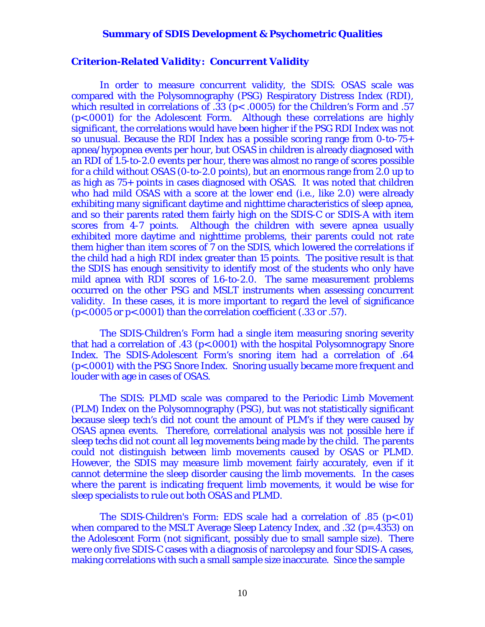#### *Criterion-Related Validity: Concurrent Validity*

 In order to measure concurrent validity, the SDIS: OSAS scale was compared with the Polysomnography (PSG) Respiratory Distress Index (RDI), which resulted in correlations of .33 (p< .0005) for the Children's Form and .57 (p<.0001) for the Adolescent Form. Although these correlations are highly significant, the correlations would have been higher if the PSG RDI Index was not so unusual. Because the RDI Index has a possible scoring range from 0-to-75+ apnea/hypopnea events per hour, but OSAS in children is already diagnosed with an RDI of 1.5-to-2.0 events per hour, there was almost no range of scores possible for a child without OSAS (0-to-2.0 points), but an enormous range from 2.0 up to as high as 75+ points in cases diagnosed with OSAS. It was noted that children who had mild OSAS with a score at the lower end (i.e., like 2.0) were already exhibiting many significant daytime and nighttime characteristics of sleep apnea, and so their parents rated them fairly high on the SDIS-C or SDIS-A with item scores from 4-7 points. Although the children with severe apnea usually exhibited more daytime and nighttime problems, their parents could not rate them higher than item scores of 7 on the SDIS, which lowered the correlations if the child had a high RDI index greater than 15 points. The positive result is that the SDIS has enough sensitivity to identify most of the students who only have mild apnea with RDI scores of 1.6-to-2.0. The same measurement problems occurred on the other PSG and MSLT instruments when assessing concurrent validity. In these cases, it is more important to regard the level of significance (p<.0005 or p<.0001) than the correlation coefficient (.33 or .57).

 The SDIS-Children's Form had a single item measuring snoring severity that had a correlation of .43 (p<.0001) with the hospital Polysomnograpy Snore Index. The SDIS-Adolescent Form's snoring item had a correlation of .64 (p<.0001) with the PSG Snore Index. Snoring usually became more frequent and louder with age in cases of OSAS.

 The SDIS: PLMD scale was compared to the Periodic Limb Movement (PLM) Index on the Polysomnography (PSG), but was not statistically significant because sleep tech's did not count the amount of PLM's if they were caused by OSAS apnea events. Therefore, correlational analysis was not possible here if sleep techs did not count all leg movements being made by the child. The parents could not distinguish between limb movements caused by OSAS or PLMD. However, the SDIS may measure limb movement fairly accurately, even if it cannot determine the sleep disorder causing the limb movements. In the cases where the parent is indicating frequent limb movements, it would be wise for sleep specialists to rule out both OSAS and PLMD.

 The SDIS-Children's Form: EDS scale had a correlation of .85 (p<.01) when compared to the MSLT Average Sleep Latency Index, and .32 (p=.4353) on the Adolescent Form (not significant, possibly due to small sample size). There were only five SDIS-C cases with a diagnosis of narcolepsy and four SDIS-A cases, making correlations with such a small sample size inaccurate. Since the sample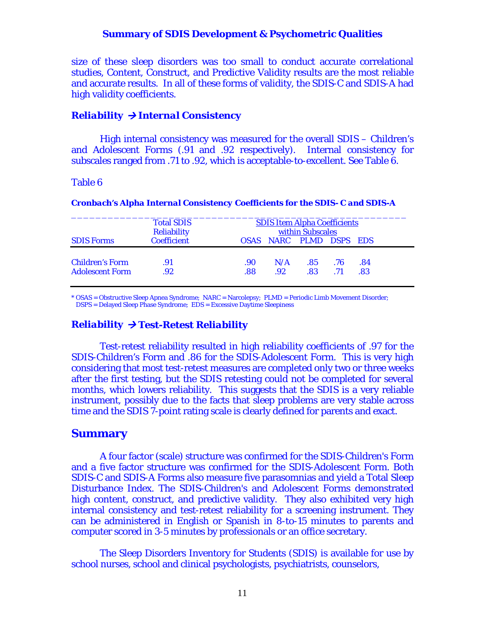size of these sleep disorders was too small to conduct accurate correlational studies, Content, Construct, and Predictive Validity results are the most reliable and accurate results. In all of these forms of validity, the SDIS-C and SDIS-A had high validity coefficients.

### *Reliability → Internal Consistency*

 High internal consistency was measured for the overall SDIS – Children's and Adolescent Forms (.91 and .92 respectively). Internal consistency for subscales ranged from .71 to .92, which is acceptable-to-excellent. See Table 6.

#### Table 6

|                        | <b>Total SDIS</b><br><b>Reliability</b> | <b>SDIS Item Alpha Coefficients</b><br>within Subscales |     |                         |     |     |
|------------------------|-----------------------------------------|---------------------------------------------------------|-----|-------------------------|-----|-----|
| <b>SDIS Forms</b>      | <b>Coefficient</b>                      |                                                         |     | OSAS NARC PLMD DSPS EDS |     |     |
| <b>Children's Form</b> | .91                                     | .90                                                     | N/A | .85                     | .76 | .84 |
| <b>Adolescent Form</b> | .92                                     | .88                                                     | .92 | .83                     | .71 | .83 |

#### *Cronbach's Alpha Internal Consistency Coefficients for the SDIS- C and SDIS-A*

\* OSAS = Obstructive Sleep Apnea Syndrome; NARC = Narcolepsy; PLMD = Periodic Limb Movement Disorder; DSPS = Delayed Sleep Phase Syndrome; EDS = Excessive Daytime Sleepiness

#### $Reliability \rightarrow Test-Retest Reliability$

 Test-retest reliability resulted in high reliability coefficients of .97 for the SDIS-Children's Form and .86 for the SDIS-Adolescent Form. This is very high considering that most test-retest measures are completed only two or three weeks after the first testing, but the SDIS retesting could not be completed for several months, which lowers reliability. This suggests that the SDIS is a very reliable instrument, possibly due to the facts that sleep problems are very stable across time and the SDIS 7-point rating scale is clearly defined for parents and exact.

#### **Summary**

 A four factor (scale) structure was confirmed for the SDIS-Children's Form and a five factor structure was confirmed for the SDIS-Adolescent Form. Both SDIS-C and SDIS-A Forms also measure five parasomnias and yield a Total Sleep Disturbance Index. The SDIS-Children's and Adolescent Forms demonstrated high content, construct, and predictive validity. They also exhibited very high internal consistency and test-retest reliability for a screening instrument. They can be administered in English or Spanish in 8-to-15 minutes to parents and computer scored in 3-5 minutes by professionals or an office secretary.

 The Sleep Disorders Inventory for Students (SDIS) is available for use by school nurses, school and clinical psychologists, psychiatrists, counselors,